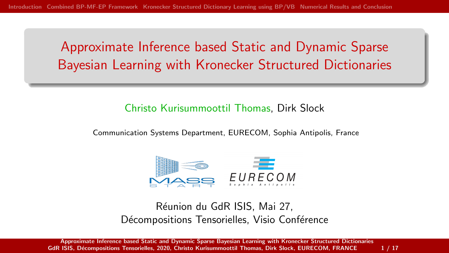<span id="page-0-0"></span>Approximate Inference based Static and Dynamic Sparse Bayesian Learning with Kronecker Structured Dictionaries

#### Christo Kurisummoottil Thomas, Dirk Slock

Communication Systems Department, EURECOM, Sophia Antipolis, France



Réunion du GdR ISIS, Mai 27, Décompositions Tensorielles, Visio Conférence

[Approximate Inference based Static and Dynamic Sparse Bayesian Learning with Kronecker Structured Dictionaries](#page-20-0) GdR ISIS, Décompositions Tensorielles, 2020, Christo Kurisummoottil Thomas, Dirk Slock, EURECOM, FRANCE 1/17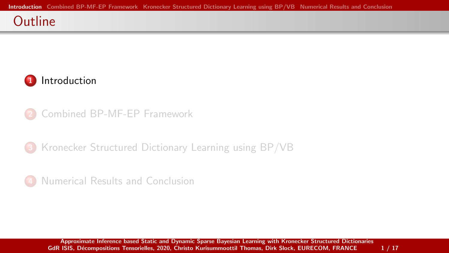#### <span id="page-1-0"></span>**Outline**



- 2 [Combined BP-MF-EP Framework](#page-8-0)
- 3 [Kronecker Structured Dictionary Learning using BP/VB](#page-13-0)
- [Numerical Results and Conclusion](#page-17-0)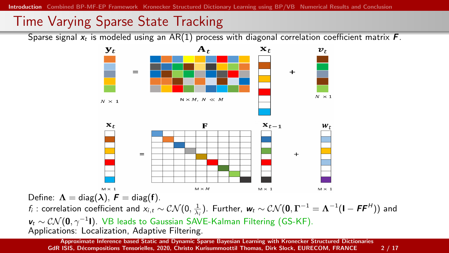# Time Varying Sparse State Tracking

Sparse signal  $x_t$  is modeled using an AR(1) process with diagonal correlation coefficient matrix  $\bm{F}$ .



Define:  $\Lambda = \text{diag}(\lambda)$ ,  $\mathbf{F} = \text{diag}(\mathbf{f})$ .  $f_i$  : correlation coefficient and  $x_{i,t}\sim \mathcal{CN}(0,\frac{1}{\lambda_i}).$  Further,  $\bm{w}_t\sim \mathcal{CN}(\bm{0},\bm{\Gamma}^{-1}=\bm{\Lambda}^{-1}(\bm{\mathsf{I}}-\bm{\mathsf{F}}\bm{\mathsf{F}}^H))$  and  $v_t \sim \mathcal{CN}(\mathbf{0}, \gamma^{-1}\mathbf{I}).$  VB leads to Gaussian SAVE-Kalman Filtering (GS-KF). Applications: Localization, Adaptive Filtering.

[Approximate Inference based Static and Dynamic Sparse Bayesian Learning with Kronecker Structured Dictionaries](#page-0-0) GdR ISIS, Décompositions Tensorielles, 2020, Christo Kurisummoottil Thomas, Dirk Slock, EURECOM, FRANCE 2/17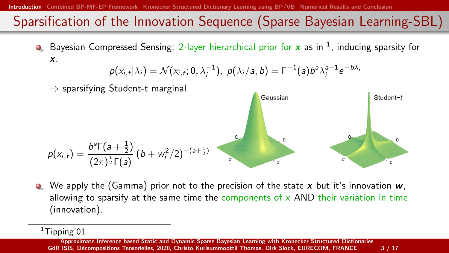[Introduction](#page-1-0) [Combined BP-MF-EP Framework](#page-8-0) [Kronecker Structured Dictionary Learning using BP/VB](#page-13-0) [Numerical Results and Conclusion](#page-17-0)

# Sparsification of the Innovation Sequence (Sparse Bayesian Learning-SBL)

Bayesian Compressed Sensing: 2-layer hierarchical prior for  $x$  as in  $^1$ , inducing sparsity for x.

$$
p(x_{i,t}|\lambda_i) = \mathcal{N}(x_{i,t}; 0, \lambda_i^{-1}), \ p(\lambda_i/a, b) = \Gamma^{-1}(a)b^a\lambda_i^{a-1}e^{-b\lambda_i}
$$



 $\bullet$  We apply the (Gamma) prior not to the precision of the state x but it's innovation  $w$ , allowing to sparsify at the same time the components of  $x$  AND their variation in time (innovation).

 $1$ Tipping'01

[Approximate Inference based Static and Dynamic Sparse Bayesian Learning with Kronecker Structured Dictionaries](#page-0-0) GdR ISIS, Décompositions Tensorielles, 2020, Christo Kurisummoottil Thomas, Dirk Slock, EURECOM, FRANCE 3 / 17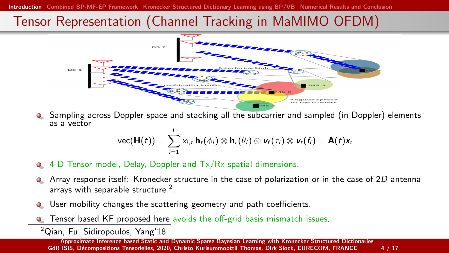# Tensor Representation (Channel Tracking in MaMIMO OFDM)



**•** Sampling across Doppler space and stacking all the subcarrier and sampled (in Doppler) elements as a vector

$$
\text{vec}(\mathbf{H}(t)) = \sum_{i=1}^L x_{i,t} \, \mathbf{h}_t(\phi_i) \otimes \mathbf{h}_r(\theta_i) \otimes \mathbf{v}_f(\tau_i) \otimes \mathbf{v}_t(f_i) = \mathbf{A}(t)\mathbf{x}_t
$$

- 4-D Tensor model, Delay, Doppler and Tx/Rx spatial dimensions.
- Array response itself: Kronecker structure in the case of polarization or in the case of 2D antenna arrays with separable structure  $2$ .
- User mobility changes the scattering geometry and path coefficients.  $\bullet$
- Tensor based KF proposed here avoids the off-grid basis mismatch issues.
- <sup>2</sup>Qian, Fu, Sidiropoulos, Yang'18

[Approximate Inference based Static and Dynamic Sparse Bayesian Learning with Kronecker Structured Dictionaries](#page-0-0) GdR ISIS, Décompositions Tensorielles, 2020, Christo Kurisummoottil Thomas, Dirk Slock, EURECOM, FRANCE 4 / 17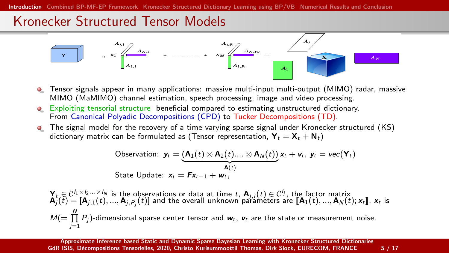#### Kronecker Structured Tensor Models



- Tensor signals appear in many applications: massive multi-input multi-output (MIMO) radar, massive MIMO (MaMIMO) channel estimation, speech processing, image and video processing.
- Exploiting tensorial structure beneficial compared to estimating unstructured dictionary. From Canonical Polyadic Decompositions (CPD) to Tucker Decompositions (TD).
- **•** The signal model for the recovery of a time varying sparse signal under Kronecker structured (KS) dictionary matrix can be formulated as (Tensor representation,  $Y_t = X_t + N_t$ )

Observation: 
$$
\mathbf{y}_t = (\mathbf{A}_1(t) \otimes \mathbf{A}_2(t) \dots \otimes \mathbf{A}_N(t)) \mathbf{x}_t + \mathbf{v}_t, \mathbf{y}_t = \text{vec}(\mathbf{Y}_t)
$$
  
State Update:  $\mathbf{x}_t = \mathbf{F} \mathbf{x}_{t-1} + \mathbf{w}_t$ ,

 $\mathbf{Y}_t \in \mathcal{C}^{I_1 \times I_2 \ldots \times I_N}$  is the observations or data at time  $t$ ,  $\mathbf{A}_{j_i}(t) \in \mathcal{C}^{I_j}$ , the factor matrix  $\mathbf{A}_{j}(t) = [\mathbf{A}_{j,1}(t),...,\mathbf{A}_{J_i,P_j}(t)]$  and the overall unknown parameters are  $[\![\mathbf{A}_{1}(t),...,\mathbf{A}_{N$  $\mathcal{M}(=\prod\limits_{i=1}^{N}P_{j})$ -dimensional sparse center tensor and  $\textbf{\textit{w}}_{t}, \textbf{\textit{v}}_{t}$  are the state or measurement noise.  $j=1$ 

[Approximate Inference based Static and Dynamic Sparse Bayesian Learning with Kronecker Structured Dictionaries](#page-0-0) GdR ISIS, Décompositions Tensorielles, 2020, Christo Kurisummoottil Thomas, Dirk Slock, EURECOM, FRANCE 5 / 17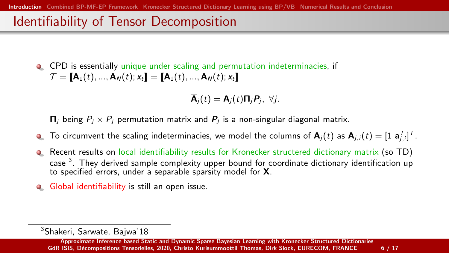## Identifiability of Tensor Decomposition

CPD is essentially unique under scaling and permutation indeterminacies, if  $\mathcal{T} = \llbracket \mathbf{A}_1(t), \dots, \mathbf{A}_N(t); \mathbf{x}_t \rrbracket = \llbracket \overline{\mathbf{A}}_1(t), \dots, \overline{\mathbf{A}}_N(t); \mathbf{x}_t \rrbracket$ 

$$
\overline{\mathsf{A}}_j(t) = \mathsf{A}_j(t) \mathsf{\Pi}_j \mathsf{P}_j, \ \forall j.
$$

 $\Pi_i$  being  $P_i \times P_i$  permutation matrix and  $P_i$  is a non-singular diagonal matrix.

- To circumvent the scaling indeterminacies, we model the columns of  ${\bf A}_j(t)$  as  ${\bf A}_{j,i}(t)=[1\;{\bf a}_{j,i}^{\mathsf{T}}]^{\mathsf{T}}.$  $\bullet$
- Recent results on local identifiability results for Kronecker structered dictionary matrix (so TD)  $\bullet$ case <sup>3</sup>. They derived sample complexity upper bound for coordinate dictionary identification up to specified errors, under a separable sparsity model for X.
- Global identifiability is still an open issue.  $\bullet$

<sup>3</sup>Shakeri, Sarwate, Bajwa'18

[Approximate Inference based Static and Dynamic Sparse Bayesian Learning with Kronecker Structured Dictionaries](#page-0-0) GdR ISIS, Décompositions Tensorielles, 2020, Christo Kurisummoottil Thomas, Dirk Slock, EURECOM, FRANCE 6 / 17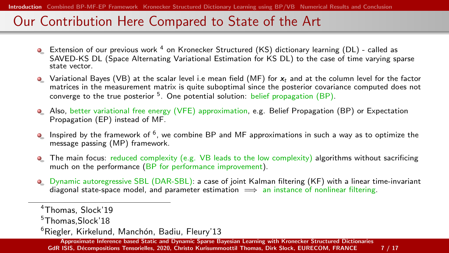## Our Contribution Here Compared to State of the Art

- Extension of our previous work  $4$  on Kronecker Structured (KS) dictionary learning (DL) called as SAVED-KS DL (Space Alternating Variational Estimation for KS DL) to the case of time varying sparse state vector.
- $\bullet$  Variational Bayes (VB) at the scalar level i.e mean field (MF) for  $x_t$  and at the column level for the factor matrices in the measurement matrix is quite suboptimal since the posterior covariance computed does not converge to the true posterior <sup>5</sup>. One potential solution: belief propagation (BP).
- Also, better variational free energy (VFE) approximation, e.g. Belief Propagation (BP) or Expectation Propagation (EP) instead of MF.
- Inspired by the framework of <sup>6</sup> , we combine BP and MF approximations in such a way as to optimize the message passing (MP) framework.
- **•** The main focus: reduced complexity (e.g. VB leads to the low complexity) algorithms without sacrificing much on the performance (BP for performance improvement).
- **O** Dynamic autoregressive SBL (DAR-SBL): a case of joint Kalman filtering (KF) with a linear time-invariant diagonal state-space model, and parameter estimation  $\implies$  an instance of nonlinear filtering.

<sup>4</sup>Thomas, Slock'19

<sup>5</sup>Thomas,Slock'18

 $6Riegler, Kirkelund, Manchón, Badiu, Fleurv'13$ 

[Approximate Inference based Static and Dynamic Sparse Bayesian Learning with Kronecker Structured Dictionaries](#page-0-0) GdR ISIS, Décompositions Tensorielles, 2020, Christo Kurisummoottil Thomas, Dirk Slock, EURECOM, FRANCE 7 / 17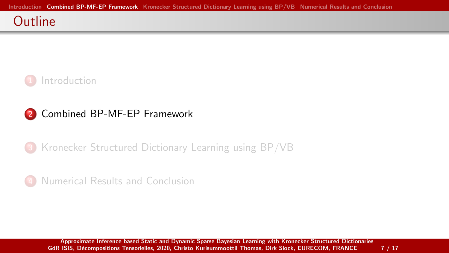#### <span id="page-8-0"></span>**Outline**



#### 2 [Combined BP-MF-EP Framework](#page-8-0)

3 [Kronecker Structured Dictionary Learning using BP/VB](#page-13-0)

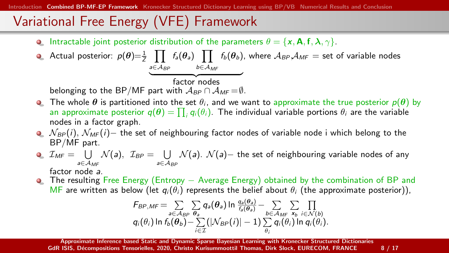# Variational Free Energy (VFE) Framework

**Intractable joint posterior distribution of the parameters**  $\theta = \{x, \mathbf{A}, f, \lambda, \gamma\}$ **.** 

**•** Actual posterior: 
$$
p(\theta) = \frac{1}{Z} \prod_{a \in A_{BP}} f_a(\theta_a) \prod_{b \in A_{MF}} f_b(\theta_b)
$$
, where  $A_{BP}A_{MF}$  = set of variable nodes  
belonging to the BP/MF part with  $A_{BP} \cap A_{MF} = \emptyset$ .

- **The whole**  $\theta$  **is partitioned into the set**  $\theta_i$ , and we want to approximate the true posterior  $p(\theta)$  by an approximate posterior  $q(\theta) = \prod_i q_i(\theta_i)$ . The individual variable portions  $\theta_i$  are the variable nodes in a factor graph.
- $\bullet$   $N_{BP}(i)$ ,  $N_{MF}(i)$  the set of neighbouring factor nodes of variable node i which belong to the BP/MF part.
- $\mathcal{I}_{\mathit{MF}}=\;\;\bigcup\;\;$  $\bigcup_{a\in\mathcal{A}_{MF}}\mathcal{N}(a),\ \ \mathcal{I}_{BP}=\bigcup_{a\in\mathcal{A}_{MF}}% \mathcal{N}(a)$ a∈ $\mathcal{A}_{\mathcal{B} \mathcal{F}}$  $\mathcal{N}({\sf a})$ .  $\mathcal{N}({\sf a})-$  the set of neighbouring variable nodes of any

factor node a.

O The resulting Free Energy (Entropy – Average Energy) obtained by the combination of BP and MF are written as below (let  $q_i(\theta_i)$  represents the belief about  $\theta_i$  (the approximate posterior)),

$$
F_{BP,MF} = \sum_{a \in \mathcal{A}_{BP}} \sum_{\theta_a} q_a(\theta_a) \ln \frac{q_a(\theta_a)}{f_a(\theta_a)} - \sum_{b \in \mathcal{A}_{MF}} \sum_{\mathbf{x}_b} \prod_{i \in \mathcal{N}(b)} q_i(\theta_i) \ln f_b(\theta_b) - \sum_{i \in \mathcal{I}} (|\mathcal{N}_{BP}(i)| - 1) \sum_{\theta_i} q_i(\theta_i) \ln q_i(\theta_i).
$$

[Approximate Inference based Static and Dynamic Sparse Bayesian Learning with Kronecker Structured Dictionaries](#page-0-0) GdR ISIS, Décompositions Tensorielles, 2020, Christo Kurisummoottil Thomas, Dirk Slock, EURECOM, FRANCE 8 / 17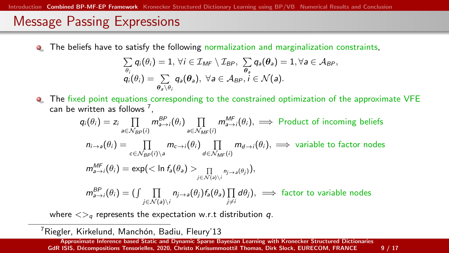## Message Passing Expressions

The beliefs have to satisfy the following normalization and marginalization constraints,  $\bullet$ 

$$
\sum_{\theta_i} q_i(\theta_i) = 1, \forall i \in \mathcal{I}_{MF} \setminus \mathcal{I}_{BP}, \sum_{\theta_a} q_a(\theta_a) = 1, \forall a \in \mathcal{A}_{BP},
$$
  

$$
q_i(\theta_i) = \sum_{\theta_a \setminus \theta_i} q_a(\theta_a), \forall a \in \mathcal{A}_{BP}, i \in \mathcal{N}(a).
$$

The fixed point equations corresponding to the constrained optimization of the approximate VFE can be written as follows  $^7$ ,

$$
q_i(\theta_i) = z_i \prod_{a \in N_{BP}(i)} m_{a \to i}^{BP}(\theta_i) \prod_{a \in N_{MF}(i)} m_{a \to i}^{MF}(\theta_i), \implies \text{Product of incoming beliefs}
$$
\n
$$
n_{i \to a}(\theta_i) = \prod_{c \in N_{BP}(i) \setminus a} m_{c \to i}(\theta_i) \prod_{d \in N_{MF}(i)} m_{d \to i}(\theta_i), \implies \text{variable to factor nodes}
$$
\n
$$
m_{a \to i}^{MF}(\theta_i) = \exp\left(\frac{1}{\ln \theta_a} \left(\theta_a\right) \right) \prod_{j \in N(a) \setminus i} n_{j \to a}(\theta_j),
$$
\n
$$
m_{a \to i}^{BP}(\theta_i) = \left(\int \prod_{j \in N(a) \setminus i} n_{j \to a}(\theta_j) f_a(\theta_a) \prod_{j \neq i} d\theta_j\right), \implies \text{factor to variable nodes}
$$

where  $\langle \rangle_q$  represents the expectation w.r.t distribution q.

<sup>7</sup> Riegler, Kirkelund, Manchón, Badiu, Fleury'13

[Approximate Inference based Static and Dynamic Sparse Bayesian Learning with Kronecker Structured Dictionaries](#page-0-0) GdR ISIS, Décompositions Tensorielles, 2020, Christo Kurisummoottil Thomas, Dirk Slock, EURECOM, FRANCE 9 / 17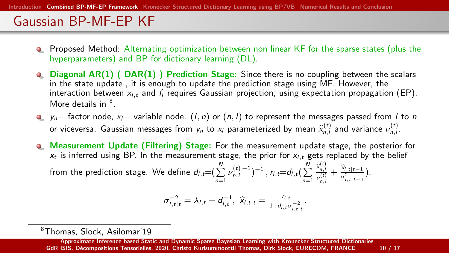# Gaussian BP-MF-EP KF

- **•** Proposed Method: Alternating optimization between non linear KF for the sparse states (plus the hyperparameters) and BP for dictionary learning (DL).
- **Q.** Diagonal AR(1) ( DAR(1) ) Prediction Stage: Since there is no coupling between the scalars in the state update , it is enough to update the prediction stage using MF. However, the interaction between  $x_{l,t}$  and  $f_l$  requires Gaussian projection, using expectation propagation (EP). More details in <sup>8</sup>.
- $\bullet$  y<sub>n</sub>− factor node, x<sub>i</sub>− variable node. (*l*, *n*) or (*n*, *l*) to represent the messages passed from *l* to *n* or viceversa. Gaussian messages from  $y_n$  to  $x_l$  parameterized by mean  $\widehat{x}_{n,l}^{(t)}$  and variance  $\nu_{n,l}^{(t)}$ .
- Measurement Update (Filtering) Stage: For the measurement update stage, the posterior for  $\bullet$  $x_t$  is inferred using BP. In the measurement stage, the prior for  $x_{i,t}$  gets replaced by the belief from the prediction stage. We define  $d_{l,t}=(\sum_{n=1}^{N}\nu_{n,l}^{(t)-1})^{-1}$  ,  $r_{l,t}=d_{l,t}(\sum_{n=1}^{N}\nu_{n,l}^{(t)-1})^{-1}$  $\widehat{\mathsf{x}}_{n,l}^{(t)}$  $\frac{\hat{x}_{n,l}^{(t)}}{\nu_{n,l}^{(t)}} + \frac{\hat{x}_{l,t|t-1}}{\sigma_{l,t|t-1}^2}.$

$$
\sigma_{l,t|t}^{-2} = \lambda_{l,t} + d_{l,t}^{-1}, \ \widehat{x}_{l,t|t} = \frac{r_{l,t}}{1 + d_{l,t} \sigma_{l,t|t}^{-2}}.
$$

<sup>8</sup>Thomas, Slock, Asilomar'19

[Approximate Inference based Static and Dynamic Sparse Bayesian Learning with Kronecker Structured Dictionaries](#page-0-0) GdR ISIS, Décompositions Tensorielles, 2020, Christo Kurisummoottil Thomas, Dirk Slock, EURECOM, FRANCE 10 / 17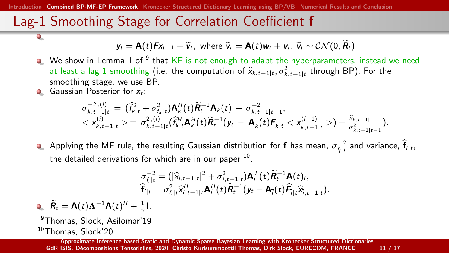[Combined BP-MF-EP Framework](#page-8-0) [Kronecker Structured Dictionary Learning using BP/VB](#page-13-0) [Numerical Results and Conclusion](#page-17-0)

## Lag-1 Smoothing Stage for Correlation Coefficient f

$$
\mathbf{y}_t = \mathbf{A}(t)\mathbf{F}\mathbf{x}_{t-1} + \widetilde{\mathbf{v}}_t, \text{ where } \widetilde{\mathbf{v}}_t = \mathbf{A}(t)\mathbf{w}_t + \mathbf{v}_t, \widetilde{\mathbf{v}}_t \sim \mathcal{CN}(0, \widetilde{\mathbf{R}}_t)
$$

- We show in Lemma 1 of  $^9$  that KF is not enough to adapt the hyperparameters, instead we need at least a lag 1 smoothing (i.e. the computation of  $\hat{x}_{k,t-1|t}, \sigma_{k,t-1|t}^2$  through BP). For the smoothing stage, we use BP smoothing stage, we use BP.
- Gaussian Posterior for  $x_t$ :

 $\bullet$ 

$$
\sigma_{k,t-1|t}^{-2,(i)} = (\hat{f}_{k|t}^2 + \sigma_{f_k|t}^2) \mathbf{A}_k^H(t) \tilde{\mathbf{R}}_t^{-1} \mathbf{A}_k(t) + \sigma_{k,t-1|t-1}^{-2}, \n< x_{k,t-1|t}^{(i)} > = \sigma_{k,t-1|t}^2 (\hat{f}_{k|t}^H \mathbf{A}_k^H(t) \tilde{\mathbf{R}}_t^{-1} (\mathbf{y}_t - \mathbf{A}_{\overline{k}}(t) \mathbf{F}_{\overline{k}|t} < \mathbf{x}_{\overline{k},t-1|t}^{(i-1)} > + \frac{\hat{x}_{k,t-1|t-1}}{\sigma_{k,t-1|t-1}^2}).
$$

Applying the MF rule, the resulting Gaussian distribution for  ${\bf f}$  has mean,  $\sigma_{f_i|t}^{-2}$  and variance,  $\widehat{{\bf f}}_{i|t},$ the detailed derivations for which are in our paper  $^{10}$ .

$$
\sigma_{f_i|t}^{-2} = (|\widehat{x}_{i,t-1|t}|^2 + \sigma_{i,t-1|t}^2) \mathbf{A}_i^T(t) \widetilde{\mathbf{R}}_t^{-1} \mathbf{A}(t)_i, \n\widehat{\mathbf{f}}_{i|t} = \sigma_{f_i|t}^2 \widehat{x}_{i,t-1|t}^H \mathbf{A}_i^H(t) \widetilde{\mathbf{R}}_t^{-1} (\mathbf{y}_t - \mathbf{A}_{\overline{j}}(t) \widehat{\mathbf{F}}_{i|t} \widehat{x}_{i,t-1|t}).
$$

 $\widetilde{\bm{R}}_t = \bm{A}(t)\bm{\Lambda}^{-1}\bm{A}(t)^H + \frac{1}{\gamma}\bm{I}.$ <sup>9</sup>Thomas, Slock, Asilomar'19 <sup>10</sup>Thomas, Slock'20

[Approximate Inference based Static and Dynamic Sparse Bayesian Learning with Kronecker Structured Dictionaries](#page-0-0) GdR ISIS, Décompositions Tensorielles, 2020, Christo Kurisummoottil Thomas, Dirk Slock, EURECOM, FRANCE 11 / 17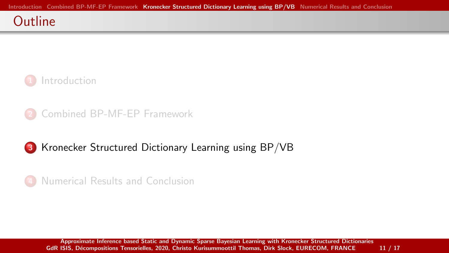#### <span id="page-13-0"></span>**Outline**





#### 3 [Kronecker Structured Dictionary Learning using BP/VB](#page-13-0)



[Approximate Inference based Static and Dynamic Sparse Bayesian Learning with Kronecker Structured Dictionaries](#page-0-0) GdR ISIS, Décompositions Tensorielles, 2020, Christo Kurisummoottil Thomas, Dirk Slock, EURECOM, FRANCE 11 / 17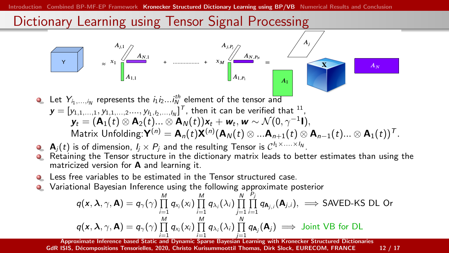[Introduction](#page-1-0) [Combined BP-MF-EP Framework](#page-8-0) [Kronecker Structured Dictionary Learning using BP/VB](#page-13-0) [Numerical Results and Conclusion](#page-17-0)



- Retaining the Tensor structure in the dictionary matrix leads to better estimates than using the matricized version for A and learning it.
- Less free variables to be estimated in the Tensor structured case.
- Variational Bayesian Inference using the following approximate posterior  $\bullet$

$$
q(\mathbf{x}, \lambda, \gamma, \mathbf{A}) = q_{\gamma}(\gamma) \prod_{i=1}^{M} q_{x_i}(x_i) \prod_{i=1}^{M} q_{\lambda_i}(\lambda_i) \prod_{j=1}^{N} \prod_{i=1}^{P_j} q_{\mathbf{A}_{j,i}}(\mathbf{A}_{j,i}), \implies \text{SAVED-KS DL Or}
$$
  

$$
q(\mathbf{x}, \lambda, \gamma, \mathbf{A}) = q_{\gamma}(\gamma) \prod_{i=1}^{M} q_{x_i}(x_i) \prod_{i=1}^{M} q_{\lambda_i}(\lambda_i) \prod_{i=1}^{N} q_{\mathbf{A}_{j}}(\mathbf{A}_{j}) \implies \text{Joint VB for DL}
$$

i=1 i=1<br>[Approximate Inference based Static and Dynamic Sparse Bayesian Learning with Kronecker Structured Dictionaries](#page-0-0) GdR ISIS, Décompositions Tensorielles, 2020, Christo Kurisummoottil Thomas, Dirk Slock, EURECOM, FRANCE 12 / 17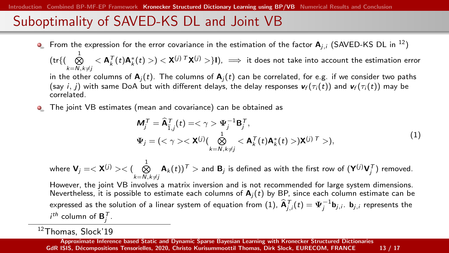## Suboptimality of SAVED-KS DL and Joint VB

**•** From the expression for the error covariance in the estimation of the factor  $A_{i,j}$  (SAVED-KS DL in <sup>12</sup>)

 $(\mathrm{tr}\{\bigcup\limits_{k=N,k\neq j}^{\infty}<\mathbf{A}_k^{\mathcal{T}}(t)\mathbf{A}_k^*(t)>\}<\mathbf{X}^{(j)\mathcal{T}}\mathbf{X}^{(j)}>\}$ I),  $\implies$  it does not take into account the estimation error

in the other columns of  $A_i(t)$ . The columns of  $A_i(t)$  can be correlated, for e.g. if we consider two paths (say i, j) with same DoA but with different delays, the delay responses  $\mathbf{v}_f(\tau_i(t))$  and  $\mathbf{v}_f(\tau_i(t))$  may be correlated.

The joint VB estimates (mean and covariance) can be obtained as  $\bullet$ 

<span id="page-15-0"></span>
$$
\mathbf{M}_{j}^{T} = \widehat{\mathbf{A}}_{I,j}^{T}(t) = \langle \gamma \rangle \mathbf{\Psi}_{j}^{-1} \mathbf{B}_{j}^{T},
$$
\n
$$
\mathbf{\Psi}_{j} = (\langle \gamma \rangle \langle \mathbf{X}^{(j)} \rangle \left( \bigotimes_{k=N, k \neq j}^{1} \langle \mathbf{A}_{k}^{T}(t) \mathbf{A}_{k}^{*}(t) \rangle \mathbf{X}^{(j)} \right)^{T} ),
$$
\n(1)

where  $\mathbf{V}_j = <\mathbf{X}^{(j)}><\big(\bigotimes_{k=N, k\neq j}^{\infty} \mathbf{A}_k(t)\big)^{\mathsf{T}}>$  and  $\mathbf{B}_j$  is defined as with the first row of  $(\mathbf{Y}^{(j)}\mathbf{V}_j^{\mathsf{T}})$  removed.

However, the joint VB involves a matrix inversion and is not recommended for large system dimensions. Nevertheless, it is possible to estimate each columns of  $A_i(t)$  by BP, since each column estimate can be expressed as the solution of a linear system of equation from [\(1\)](#page-15-0),  $\widehat{\mathbf{A}}_{j,i}^{\mathcal{T}}(t)=\mathbf{\Psi}_j^{-1}\mathbf{b}_{j,i}.$   $\mathbf{b}_{j,i}$  represents the  $i^{th}$  column of  $\mathbf{B}_j^{\mathcal{T}}$ .

<sup>12</sup>Thomas, Slock'19

[Approximate Inference based Static and Dynamic Sparse Bayesian Learning with Kronecker Structured Dictionaries](#page-0-0) GdR ISIS, Décompositions Tensorielles, 2020, Christo Kurisummoottil Thomas, Dirk Slock, EURECOM, FRANCE 13 / 17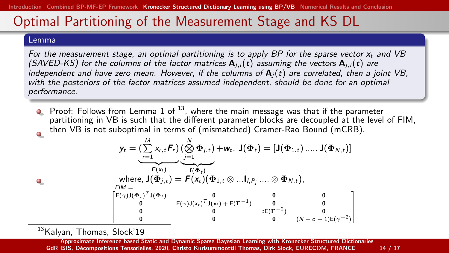## Optimal Partitioning of the Measurement Stage and KS DL

#### Lemma

 $\bullet$ 

For the measurement stage, an optimal partitioning is to apply BP for the sparse vector  $x_t$  and VB (SAVED-KS) for the columns of the factor matrices  $A_{i,j}(t)$  assuming the vectors  $A_{i,j}(t)$  are independent and have zero mean. However, if the columns of  $A_i(t)$  are correlated, then a joint VB, with the posteriors of the factor matrices assumed independent, should be done for an optimal performance.

**P** Proof: Follows from Lemma 1 of  $^{13}$ , where the main message was that if the parameter partitioning in VB is such that the different parameter blocks are decoupled at the level of FIM. then VB is not suboptimal in terms of (mismatched) Cramer-Rao Bound (mCRB).  $\bullet$ 

$$
\mathbf{y}_t = (\underbrace{\sum_{r=1}^M x_{r,t} \mathbf{F}_r}_{\mathbf{F}(\mathbf{x}_t)} (\underbrace{\bigotimes_{j=1}^M \Phi_{j,t}}_{\mathbf{f}(\Phi_t)}) + \mathbf{w}_t. \ \mathbf{J}(\Phi_t) = [\mathbf{J}(\Phi_{1,t}) \dots \mathbf{J}(\Phi_{N,t})]
$$
\nwhere, 
$$
\mathbf{J}(\Phi_{j,t}) = \mathbf{F}(\mathbf{x}_t)(\Phi_{1,t} \otimes \dots \mathbf{I}_{j} \mathbf{F}_j \dots \otimes \Phi_{N,t}),
$$
\n
$$
\mathbf{F}(\mathbf{M} = \begin{bmatrix} \mathbf{E}(\gamma) \mathbf{J}(\Phi_t)^T \mathbf{J}(\Phi_t) & \mathbf{0} & \mathbf{0} & \mathbf{0} \\ \mathbf{0} & \mathbf{E}(\gamma) \mathbf{J}(\mathbf{x}_t)^T \mathbf{J}(\mathbf{x}_t) + \mathbf{E}(\mathbf{\Gamma}^{-1}) & \mathbf{0} & \mathbf{0} \\ \mathbf{0} & \mathbf{0} & \mathbf{0} & \mathbf{0} & \mathbf{0} \\ \mathbf{0} & \mathbf{0} & \mathbf{0} & \mathbf{0} & (\mathbf{N} + \mathbf{c} - 1)\mathbf{E}(\gamma^{-2}) \end{bmatrix}
$$

13 Kalvan, Thomas, Slock'19

[Approximate Inference based Static and Dynamic Sparse Bayesian Learning with Kronecker Structured Dictionaries](#page-0-0) GdR ISIS, Décompositions Tensorielles, 2020, Christo Kurisummoottil Thomas, Dirk Slock, EURECOM, FRANCE 14 / 17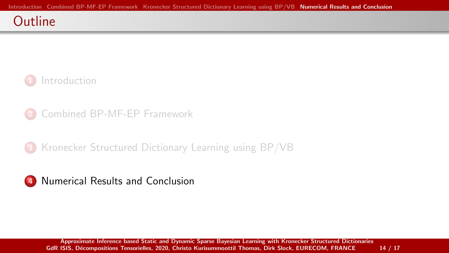#### <span id="page-17-0"></span>**Outline**



- 2 [Combined BP-MF-EP Framework](#page-8-0)
- 3 [Kronecker Structured Dictionary Learning using BP/VB](#page-13-0)

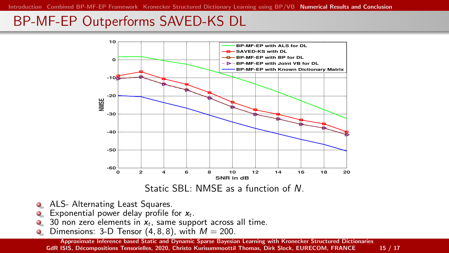## BP-MF-EP Outperforms SAVED-KS DL



- ALS- Alternating Least Squares.
- Exponential power delay profile for  $x_t$ .  $\bullet$
- 30 non zero elements in  $x_t$ , same support across all time.  $\bullet$
- $\bullet$ Dimensions: 3-D Tensor  $(4, 8, 8)$ , with  $M = 200$ .

[Approximate Inference based Static and Dynamic Sparse Bayesian Learning with Kronecker Structured Dictionaries](#page-0-0) GdR ISIS, Décompositions Tensorielles, 2020, Christo Kurisummoottil Thomas, Dirk Slock, EURECOM, FRANCE 15 / 17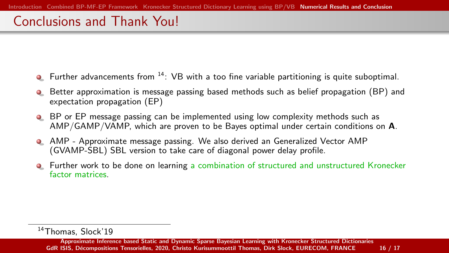## Conclusions and Thank You!

- **•** Further advancements from  $14$ : VB with a too fine variable partitioning is quite suboptimal.
- **•** Better approximation is message passing based methods such as belief propagation (BP) and expectation propagation (EP)
- BP or EP message passing can be implemented using low complexity methods such as AMP/GAMP/VAMP, which are proven to be Bayes optimal under certain conditions on A.
- AMP Approximate message passing. We also derived an Generalized Vector AMP (GVAMP-SBL) SBL version to take care of diagonal power delay profile.
- **•** Further work to be done on learning a combination of structured and unstructured Kronecker factor matrices.

<sup>14</sup>Thomas, Slock'19

[Approximate Inference based Static and Dynamic Sparse Bayesian Learning with Kronecker Structured Dictionaries](#page-0-0) GdR ISIS, Décompositions Tensorielles, 2020, Christo Kurisummoottil Thomas, Dirk Slock, EURECOM, FRANCE 16 / 17